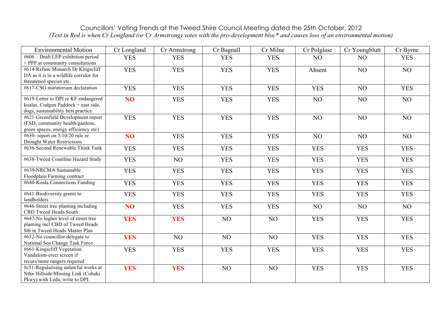## Councillors' Voting Trends at the Tweed Shire Council Meeting dated the 25th October, 2012 *(Text in Red is when Cr Longland (or Cr Armstrong) votes with the pro-development bloc\* and causes loss of an environmental motion)*

| #606 – Draft LEP exhibition period<br><b>YES</b><br><b>YES</b><br><b>YES</b><br><b>YES</b><br><b>YES</b><br>NO<br>NO<br>+ PPP at community consultations<br>#614-Refuse Monarch Dr Kingscliff<br><b>YES</b><br><b>YES</b><br><b>YES</b><br><b>YES</b><br>NO<br>NO<br>Absent<br>DA as it is in a wildlife corridor for<br>threatened species etc.<br>#617-CSG moratorium declaration<br><b>YES</b><br><b>YES</b><br><b>YES</b><br><b>YES</b><br><b>YES</b><br>NO<br><b>YES</b><br>#619-Letter to DPI re KF endangered<br>NO <sub>1</sub><br><b>YES</b><br><b>YES</b><br><b>YES</b><br>NO<br>NO<br>NO<br>koalas, Cudgen Paddock + east side,<br>dogs, sustainability best practice<br>#621-Greenfield Development report<br><b>YES</b><br><b>YES</b><br><b>YES</b><br><b>YES</b><br>NO<br>NO<br>NO<br>(ESD, community health/gardens,<br>green spaces, energy efficiency etc)<br>#630- report on 5/10/20 rule re<br>NO <sub>1</sub><br><b>YES</b><br><b>YES</b><br><b>YES</b><br>NO<br>NO<br>NO | <b>Environmental Motion</b> | Cr Longland | Cr Armstrong | Cr Bagnall | Cr Milne | Cr Polglase | Cr Youngblutt | Cr Byrne |
|-----------------------------------------------------------------------------------------------------------------------------------------------------------------------------------------------------------------------------------------------------------------------------------------------------------------------------------------------------------------------------------------------------------------------------------------------------------------------------------------------------------------------------------------------------------------------------------------------------------------------------------------------------------------------------------------------------------------------------------------------------------------------------------------------------------------------------------------------------------------------------------------------------------------------------------------------------------------------------------------------|-----------------------------|-------------|--------------|------------|----------|-------------|---------------|----------|
|                                                                                                                                                                                                                                                                                                                                                                                                                                                                                                                                                                                                                                                                                                                                                                                                                                                                                                                                                                                               |                             |             |              |            |          |             |               |          |
|                                                                                                                                                                                                                                                                                                                                                                                                                                                                                                                                                                                                                                                                                                                                                                                                                                                                                                                                                                                               |                             |             |              |            |          |             |               |          |
|                                                                                                                                                                                                                                                                                                                                                                                                                                                                                                                                                                                                                                                                                                                                                                                                                                                                                                                                                                                               |                             |             |              |            |          |             |               |          |
|                                                                                                                                                                                                                                                                                                                                                                                                                                                                                                                                                                                                                                                                                                                                                                                                                                                                                                                                                                                               |                             |             |              |            |          |             |               |          |
|                                                                                                                                                                                                                                                                                                                                                                                                                                                                                                                                                                                                                                                                                                                                                                                                                                                                                                                                                                                               |                             |             |              |            |          |             |               |          |
|                                                                                                                                                                                                                                                                                                                                                                                                                                                                                                                                                                                                                                                                                                                                                                                                                                                                                                                                                                                               |                             |             |              |            |          |             |               |          |
|                                                                                                                                                                                                                                                                                                                                                                                                                                                                                                                                                                                                                                                                                                                                                                                                                                                                                                                                                                                               |                             |             |              |            |          |             |               |          |
|                                                                                                                                                                                                                                                                                                                                                                                                                                                                                                                                                                                                                                                                                                                                                                                                                                                                                                                                                                                               |                             |             |              |            |          |             |               |          |
|                                                                                                                                                                                                                                                                                                                                                                                                                                                                                                                                                                                                                                                                                                                                                                                                                                                                                                                                                                                               |                             |             |              |            |          |             |               |          |
|                                                                                                                                                                                                                                                                                                                                                                                                                                                                                                                                                                                                                                                                                                                                                                                                                                                                                                                                                                                               |                             |             |              |            |          |             |               |          |
|                                                                                                                                                                                                                                                                                                                                                                                                                                                                                                                                                                                                                                                                                                                                                                                                                                                                                                                                                                                               |                             |             |              |            |          |             |               |          |
|                                                                                                                                                                                                                                                                                                                                                                                                                                                                                                                                                                                                                                                                                                                                                                                                                                                                                                                                                                                               |                             |             |              |            |          |             |               |          |
|                                                                                                                                                                                                                                                                                                                                                                                                                                                                                                                                                                                                                                                                                                                                                                                                                                                                                                                                                                                               |                             |             |              |            |          |             |               |          |
| <b>Drought Water Restrictions</b>                                                                                                                                                                                                                                                                                                                                                                                                                                                                                                                                                                                                                                                                                                                                                                                                                                                                                                                                                             |                             |             |              |            |          |             |               |          |
| #636-Second Renewable Think Tank<br><b>YES</b><br><b>YES</b><br><b>YES</b><br><b>YES</b><br><b>YES</b><br><b>YES</b><br><b>YES</b>                                                                                                                                                                                                                                                                                                                                                                                                                                                                                                                                                                                                                                                                                                                                                                                                                                                            |                             |             |              |            |          |             |               |          |
| #638-Tweed Coastline Hazard Study<br><b>YES</b><br><b>YES</b><br><b>YES</b><br><b>YES</b><br><b>YES</b><br><b>YES</b><br>NO                                                                                                                                                                                                                                                                                                                                                                                                                                                                                                                                                                                                                                                                                                                                                                                                                                                                   |                             |             |              |            |          |             |               |          |
| #639-NRCMA Sustainable<br><b>YES</b><br><b>YES</b><br><b>YES</b><br><b>YES</b><br><b>YES</b><br><b>YES</b><br><b>YES</b>                                                                                                                                                                                                                                                                                                                                                                                                                                                                                                                                                                                                                                                                                                                                                                                                                                                                      |                             |             |              |            |          |             |               |          |
| Floodplain Farming contract                                                                                                                                                                                                                                                                                                                                                                                                                                                                                                                                                                                                                                                                                                                                                                                                                                                                                                                                                                   |                             |             |              |            |          |             |               |          |
| #640-Koala Connections Funding<br><b>YES</b><br><b>YES</b><br><b>YES</b><br><b>YES</b><br><b>YES</b><br><b>YES</b><br><b>YES</b>                                                                                                                                                                                                                                                                                                                                                                                                                                                                                                                                                                                                                                                                                                                                                                                                                                                              |                             |             |              |            |          |             |               |          |
|                                                                                                                                                                                                                                                                                                                                                                                                                                                                                                                                                                                                                                                                                                                                                                                                                                                                                                                                                                                               |                             |             |              |            |          |             |               |          |
| $\sqrt{\text{4641-}$ Biodiversity grants to<br><b>YES</b><br><b>YES</b><br><b>YES</b><br><b>YES</b><br><b>YES</b><br><b>YES</b><br><b>YES</b>                                                                                                                                                                                                                                                                                                                                                                                                                                                                                                                                                                                                                                                                                                                                                                                                                                                 |                             |             |              |            |          |             |               |          |
| landholders                                                                                                                                                                                                                                                                                                                                                                                                                                                                                                                                                                                                                                                                                                                                                                                                                                                                                                                                                                                   |                             |             |              |            |          |             |               |          |
| #646-Street tree planting including<br>N <sub>O</sub><br><b>YES</b><br><b>YES</b><br><b>YES</b><br>NO<br>NO<br>NO                                                                                                                                                                                                                                                                                                                                                                                                                                                                                                                                                                                                                                                                                                                                                                                                                                                                             |                             |             |              |            |          |             |               |          |
| CBD Tweed Heads South                                                                                                                                                                                                                                                                                                                                                                                                                                                                                                                                                                                                                                                                                                                                                                                                                                                                                                                                                                         |                             |             |              |            |          |             |               |          |
| #647-No higher level of street tree<br><b>YES</b><br><b>YES</b><br>NO<br>NO<br><b>YES</b><br><b>YES</b><br><b>YES</b><br>planting incl CBD of Tweed Heads                                                                                                                                                                                                                                                                                                                                                                                                                                                                                                                                                                                                                                                                                                                                                                                                                                     |                             |             |              |            |          |             |               |          |
| Sth in Tweed Heads Master Plan                                                                                                                                                                                                                                                                                                                                                                                                                                                                                                                                                                                                                                                                                                                                                                                                                                                                                                                                                                |                             |             |              |            |          |             |               |          |
| #652-No councillor delegate to<br>NO<br>NO<br>NO<br><b>YES</b>                                                                                                                                                                                                                                                                                                                                                                                                                                                                                                                                                                                                                                                                                                                                                                                                                                                                                                                                |                             |             |              |            |          |             |               |          |
| <b>YES</b><br><b>YES</b><br><b>YES</b><br>National Sea Change Task Force                                                                                                                                                                                                                                                                                                                                                                                                                                                                                                                                                                                                                                                                                                                                                                                                                                                                                                                      |                             |             |              |            |          |             |               |          |
| #661-Kingscliff Vegetation<br><b>YES</b><br><b>YES</b><br><b>YES</b><br><b>YES</b><br><b>YES</b><br><b>YES</b>                                                                                                                                                                                                                                                                                                                                                                                                                                                                                                                                                                                                                                                                                                                                                                                                                                                                                |                             |             |              |            |          |             |               |          |
| <b>YES</b><br>Vandalism-erect screen if                                                                                                                                                                                                                                                                                                                                                                                                                                                                                                                                                                                                                                                                                                                                                                                                                                                                                                                                                       |                             |             |              |            |          |             |               |          |
| recurs/more rangers required                                                                                                                                                                                                                                                                                                                                                                                                                                                                                                                                                                                                                                                                                                                                                                                                                                                                                                                                                                  |                             |             |              |            |          |             |               |          |
| #c51-Regularising unlawful works at<br><b>YES</b><br><b>YES</b><br>NO<br>NO<br><b>YES</b><br><b>YES</b><br><b>YES</b>                                                                                                                                                                                                                                                                                                                                                                                                                                                                                                                                                                                                                                                                                                                                                                                                                                                                         |                             |             |              |            |          |             |               |          |
| Nthn Hillside/Missing Link (Cobaki                                                                                                                                                                                                                                                                                                                                                                                                                                                                                                                                                                                                                                                                                                                                                                                                                                                                                                                                                            |                             |             |              |            |          |             |               |          |
| Pkwy) with Leda, write to DPI.                                                                                                                                                                                                                                                                                                                                                                                                                                                                                                                                                                                                                                                                                                                                                                                                                                                                                                                                                                |                             |             |              |            |          |             |               |          |